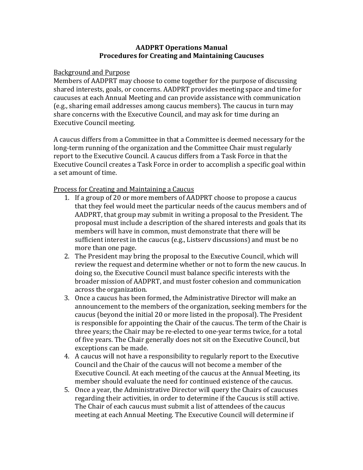## **AADPRT Operations Manual Procedures for Creating and Maintaining Caucuses**

## Background and Purpose

Members of AADPRT may choose to come together for the purpose of discussing shared interests, goals, or concerns. AADPRT provides meeting space and time for caucuses at each Annual Meeting and can provide assistance with communication (e.g., sharing email addresses among caucus members). The caucus in turn may share concerns with the Executive Council, and may ask for time during an Executive Council meeting.

A caucus differs from a Committee in that a Committee is deemed necessary for the long-term running of the organization and the Committee Chair must regularly report to the Executive Council. A caucus differs from a Task Force in that the Executive Council creates a Task Force in order to accomplish a specific goal within a set amount of time.

Process for Creating and Maintaining a Caucus

- 1. If a group of 20 or more members of AADPRT choose to propose a caucus that they feel would meet the particular needs of the caucus members and of AADPRT, that group may submit in writing a proposal to the President. The proposal must include a description of the shared interests and goals that its members will have in common, must demonstrate that there will be sufficient interest in the caucus (e.g., Listserv discussions) and must be no more than one page.
- 2. The President may bring the proposal to the Executive Council, which will review the request and determine whether or not to form the new caucus. In doing so, the Executive Council must balance specific interests with the broader mission of AADPRT, and must foster cohesion and communication across the organization.
- 3. Once a caucus has been formed, the Administrative Director will make an announcement to the members of the organization, seeking members for the caucus (beyond the initial 20 or more listed in the proposal). The President is responsible for appointing the Chair of the caucus. The term of the Chair is three years; the Chair may be re-elected to one-year terms twice, for a total of five years. The Chair generally does not sit on the Executive Council, but exceptions can be made.
- 4. A caucus will not have a responsibility to regularly report to the Executive Council and the Chair of the caucus will not become a member of the Executive Council. At each meeting of the caucus at the Annual Meeting, its member should evaluate the need for continued existence of the caucus.
- 5. Once a year, the Administrative Director will query the Chairs of caucuses regarding their activities, in order to determine if the Caucus is still active. The Chair of each caucus must submit a list of attendees of the caucus meeting at each Annual Meeting. The Executive Council will determine if